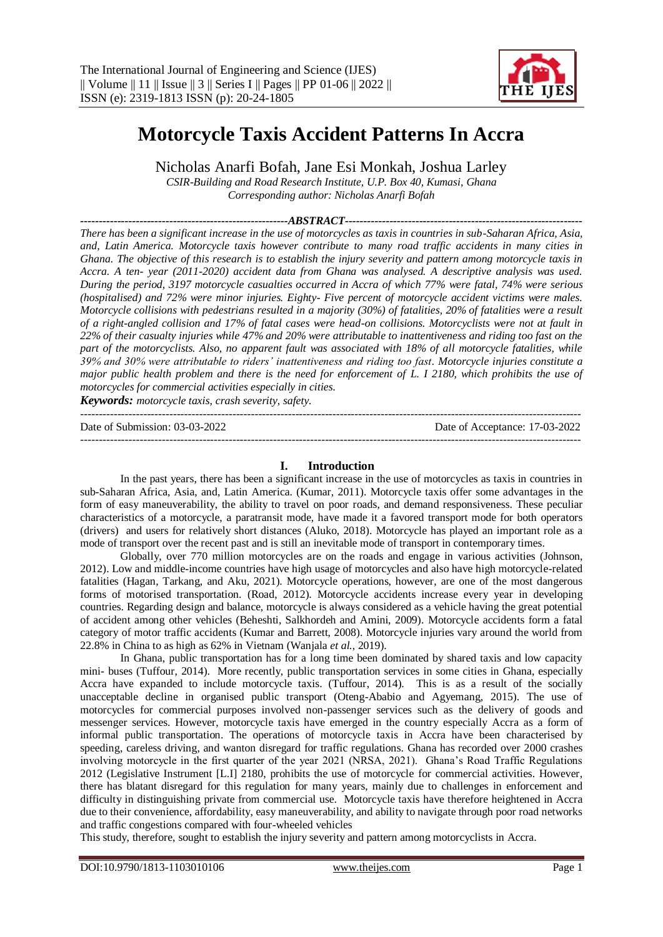

# **Motorcycle Taxis Accident Patterns In Accra**

Nicholas Anarfi Bofah, Jane Esi Monkah, Joshua Larley

*CSIR-Building and Road Research Institute, U.P. Box 40, Kumasi, Ghana Corresponding author: Nicholas Anarfi Bofah*

*--------------------------------------------------------ABSTRACT---------------------------------------------------------------- There has been a significant increase in the use of motorcycles as taxis in countries in sub-Saharan Africa, Asia, and, Latin America. Motorcycle taxis however contribute to many road traffic accidents in many cities in Ghana. The objective of this research is to establish the injury severity and pattern among motorcycle taxis in Accra. A ten- year (2011-2020) accident data from Ghana was analysed. A descriptive analysis was used. During the period, 3197 motorcycle casualties occurred in Accra of which 77% were fatal, 74% were serious (hospitalised) and 72% were minor injuries. Eighty- Five percent of motorcycle accident victims were males. Motorcycle collisions with pedestrians resulted in a majority (30%) of fatalities, 20% of fatalities were a result of a right-angled collision and 17% of fatal cases were head-on collisions. Motorcyclists were not at fault in 22% of their casualty injuries while 47% and 20% were attributable to inattentiveness and riding too fast on the part of the motorcyclists. Also, no apparent fault was associated with 18% of all motorcycle fatalities, while 39% and 30% were attributable to riders' inattentiveness and riding too fast. Motorcycle injuries constitute a major public health problem and there is the need for enforcement of L. I 2180, which prohibits the use of motorcycles for commercial activities especially in cities.*

*Keywords: motorcycle taxis, crash severity, safety.*  ---------------------------------------------------------------------------------------------------------------------------------------

Date of Submission: 03-03-2022 Date of Acceptance: 17-03-2022

---------------------------------------------------------------------------------------------------------------------------------------

#### **I. Introduction**

In the past years, there has been a significant increase in the use of motorcycles as taxis in countries in sub-Saharan Africa, Asia, and, Latin America. (Kumar, 2011). Motorcycle taxis offer some advantages in the form of easy maneuverability, the ability to travel on poor roads, and demand responsiveness. These peculiar characteristics of a motorcycle, a paratransit mode, have made it a favored transport mode for both operators (drivers) and users for relatively short distances (Aluko, 2018). Motorcycle has played an important role as a mode of transport over the recent past and is still an inevitable mode of transport in contemporary times.

Globally, over 770 million motorcycles are on the roads and engage in various activities (Johnson, 2012). Low and middle-income countries have high usage of motorcycles and also have high motorcycle-related fatalities (Hagan, Tarkang, and Aku, 2021). Motorcycle operations, however, are one of the most dangerous forms of motorised transportation. (Road, 2012). Motorcycle accidents increase every year in developing countries. Regarding design and balance, motorcycle is always considered as a vehicle having the great potential of accident among other vehicles (Beheshti, Salkhordeh and Amini, 2009). Motorcycle accidents form a fatal category of motor traffic accidents (Kumar and Barrett, 2008). Motorcycle injuries vary around the world from 22.8% in China to as high as 62% in Vietnam (Wanjala *et al.*, 2019).

In Ghana, public transportation has for a long time been dominated by shared taxis and low capacity mini- buses (Tuffour, 2014). More recently, public transportation services in some cities in Ghana, especially Accra have expanded to include motorcycle taxis. (Tuffour, 2014). This is as a result of the socially unacceptable decline in organised public transport (Oteng-Ababio and Agyemang, 2015). The use of motorcycles for commercial purposes involved non-passenger services such as the delivery of goods and messenger services. However, motorcycle taxis have emerged in the country especially Accra as a form of informal public transportation. The operations of motorcycle taxis in Accra have been characterised by speeding, careless driving, and wanton disregard for traffic regulations. Ghana has recorded over 2000 crashes involving motorcycle in the first quarter of the year 2021 (NRSA, 2021). Ghana's Road Traffic Regulations 2012 (Legislative Instrument [L.I] 2180, prohibits the use of motorcycle for commercial activities. However, there has blatant disregard for this regulation for many years, mainly due to challenges in enforcement and difficulty in distinguishing private from commercial use. Motorcycle taxis have therefore heightened in Accra due to their convenience, affordability, easy maneuverability, and ability to navigate through poor road networks and traffic congestions compared with four-wheeled vehicles

This study, therefore, sought to establish the injury severity and pattern among motorcyclists in Accra.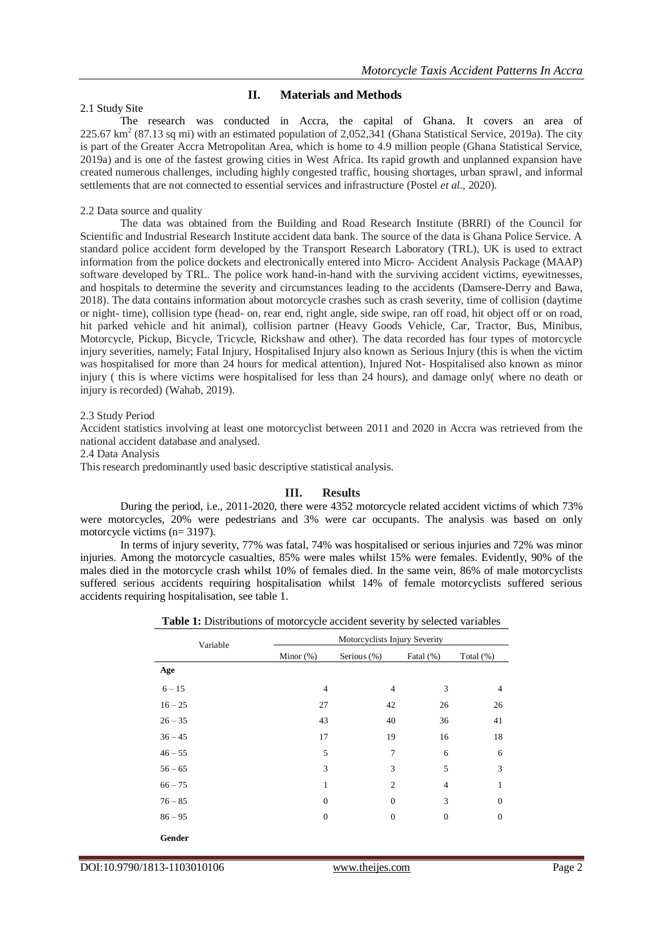# **II. Materials and Methods**

## 2.1 Study Site

The research was conducted in Accra, the capital of Ghana. It covers an area of  $225.67 \text{ km}^2$  (87.13 sq mi) with an estimated population of 2,052,341 (Ghana Statistical Service, 2019a). The city is part of the Greater Accra Metropolitan Area, which is home to 4.9 million people (Ghana Statistical Service, 2019a) and is one of the fastest growing cities in West Africa. Its rapid growth and unplanned expansion have created numerous challenges, including highly congested traffic, housing shortages, urban sprawl, and informal settlements that are not connected to essential services and infrastructure (Postel *et al.*, 2020).

# 2.2 Data source and quality

The data was obtained from the Building and Road Research Institute (BRRI) of the Council for Scientific and Industrial Research Institute accident data bank. The source of the data is Ghana Police Service. A standard police accident form developed by the Transport Research Laboratory (TRL), UK is used to extract information from the police dockets and electronically entered into Micro- Accident Analysis Package (MAAP) software developed by TRL. The police work hand-in-hand with the surviving accident victims, eyewitnesses, and hospitals to determine the severity and circumstances leading to the accidents (Damsere-Derry and Bawa, 2018). The data contains information about motorcycle crashes such as crash severity, time of collision (daytime or night- time), collision type (head- on, rear end, right angle, side swipe, ran off road, hit object off or on road, hit parked vehicle and hit animal), collision partner (Heavy Goods Vehicle, Car, Tractor, Bus, Minibus, Motorcycle, Pickup, Bicycle, Tricycle, Rickshaw and other). The data recorded has four types of motorcycle injury severities, namely; Fatal Injury, Hospitalised Injury also known as Serious Injury (this is when the victim was hospitalised for more than 24 hours for medical attention), Injured Not- Hospitalised also known as minor injury ( this is where victims were hospitalised for less than 24 hours), and damage only( where no death or injury is recorded) (Wahab, 2019).

## 2.3 Study Period

Accident statistics involving at least one motorcyclist between 2011 and 2020 in Accra was retrieved from the national accident database and analysed.

2.4 Data Analysis

This research predominantly used basic descriptive statistical analysis.

# **III. Results**

During the period, i.e., 2011-2020, there were 4352 motorcycle related accident victims of which 73% were motorcycles, 20% were pedestrians and 3% were car occupants. The analysis was based on only motorcycle victims (n= 3197).

In terms of injury severity, 77% was fatal, 74% was hospitalised or serious injuries and 72% was minor injuries. Among the motorcycle casualties, 85% were males whilst 15% were females. Evidently, 90% of the males died in the motorcycle crash whilst 10% of females died. In the same vein, 86% of male motorcyclists suffered serious accidents requiring hospitalisation whilst 14% of female motorcyclists suffered serious accidents requiring hospitalisation, see table 1.

| Table 1: Distributions of motorcycle accident severity by selected variables |
|------------------------------------------------------------------------------|
|------------------------------------------------------------------------------|

| Variable  | Motorcyclists Injury Severity |                |                  |                |  |
|-----------|-------------------------------|----------------|------------------|----------------|--|
|           | Minor $(\%)$                  | Serious (%)    | Fatal $(\% )$    | Total $(\%)$   |  |
| Age       |                               |                |                  |                |  |
| $6 - 15$  | $\overline{4}$                | $\overline{4}$ | 3                | $\overline{4}$ |  |
| $16 - 25$ | 27                            | 42             | 26               | 26             |  |
| $26 - 35$ | 43                            | 40             | 36               | 41             |  |
| $36 - 45$ | 17                            | 19             | 16               | 18             |  |
| $46 - 55$ | 5                             | 7              | 6                | 6              |  |
| $56 - 65$ | 3                             | 3              | 5                | 3              |  |
| $66 - 75$ | 1                             | $\overline{2}$ | 4                | 1              |  |
| $76 - 85$ | $\boldsymbol{0}$              | $\theta$       | 3                | $\mathbf{0}$   |  |
| $86 - 95$ | $\overline{0}$                | $\theta$       | $\boldsymbol{0}$ | $\mathbf{0}$   |  |
| Gender    |                               |                |                  |                |  |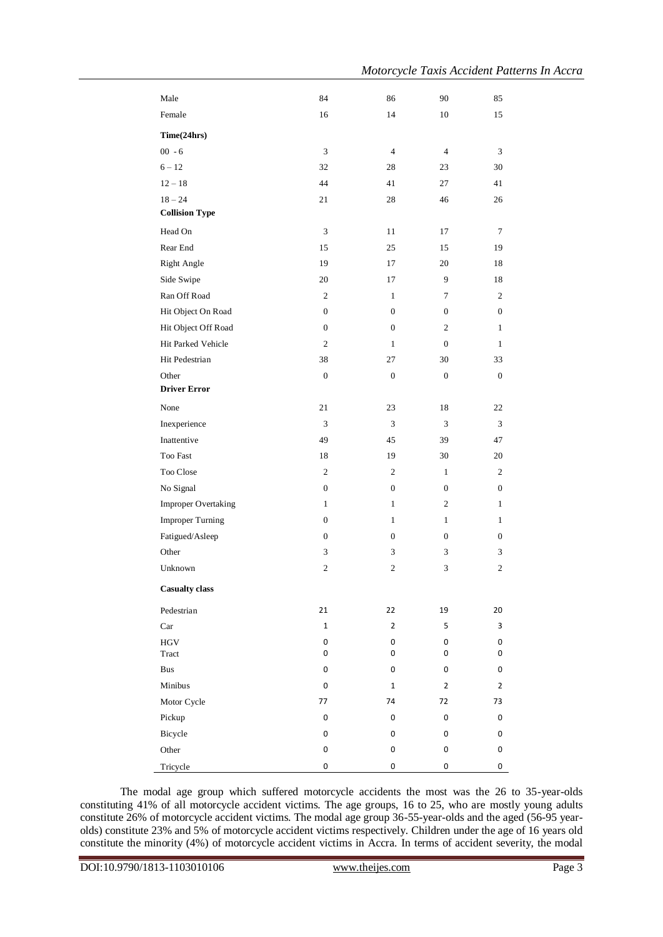| Male                       | 84               | 86               | 90               | 85               |
|----------------------------|------------------|------------------|------------------|------------------|
| Female                     | 16               | 14               | 10               | 15               |
| Time(24hrs)                |                  |                  |                  |                  |
| $00 - 6$                   | 3                | $\overline{4}$   | $\overline{4}$   | 3                |
| $6 - 12$                   | 32               | 28               | 23               | 30               |
| $12 - 18$                  | 44               | 41               | 27               | 41               |
| $18 - 24$                  | 21               | 28               | 46               | 26               |
| <b>Collision Type</b>      |                  |                  |                  |                  |
| Head On                    | 3                | 11               | 17               | 7                |
| Rear End                   | 15               | 25               | 15               | 19               |
| <b>Right Angle</b>         | 19               | 17               | 20               | 18               |
| Side Swipe                 | 20               | 17               | 9                | 18               |
| Ran Off Road               | $\overline{c}$   | $\mathbf{1}$     | 7                | 2                |
| Hit Object On Road         | $\boldsymbol{0}$ | $\boldsymbol{0}$ | $\boldsymbol{0}$ | $\boldsymbol{0}$ |
| Hit Object Off Road        | 0                | $\boldsymbol{0}$ | $\overline{c}$   | 1                |
| Hit Parked Vehicle         | $\overline{c}$   | $\mathbf{1}$     | $\mathbf{0}$     | 1                |
| Hit Pedestrian             | 38               | 27               | 30               | 33               |
| Other                      | $\boldsymbol{0}$ | $\boldsymbol{0}$ | $\mathbf{0}$     | $\mathbf{0}$     |
| <b>Driver Error</b>        |                  |                  |                  |                  |
| None                       | 21               | 23               | 18               | 22               |
| Inexperience               | 3                | 3                | 3                | 3                |
| Inattentive                | 49               | 45               | 39               | 47               |
| Too Fast                   | 18               | 19               | 30               | 20               |
| Too Close                  | $\overline{c}$   | $\overline{c}$   | $\mathbf{1}$     | 2                |
| No Signal                  | $\boldsymbol{0}$ | $\boldsymbol{0}$ | $\boldsymbol{0}$ | $\boldsymbol{0}$ |
| <b>Improper Overtaking</b> | $\mathbf{1}$     | $\mathbf{1}$     | $\overline{c}$   | 1                |
| <b>Improper Turning</b>    | $\boldsymbol{0}$ | $\mathbf{1}$     | $\mathbf{1}$     | 1                |
| Fatigued/Asleep            | 0                | $\boldsymbol{0}$ | $\mathbf{0}$     | $\boldsymbol{0}$ |
| Other                      | 3                | 3                | 3                | 3                |
| Unknown                    | 2                | $\mathbf{2}$     | 3                | 2                |
| <b>Casualty class</b>      |                  |                  |                  |                  |
| Pedestrian                 | 21               | 22               | 19               | 20               |
| Car                        | $\mathbf{1}$     | $\overline{2}$   | 5                | 3                |
| <b>HGV</b>                 | 0                | 0                | 0                | 0                |
| Tract                      | 0                | 0                | 0                | 0                |
| <b>Bus</b>                 | 0                | 0                | 0                | 0                |
| Minibus                    | 0                | $\mathbf{1}$     | 2                | $\overline{2}$   |
| Motor Cycle                | 77               | 74               | 72               | 73               |
| Pickup                     | $\pmb{0}$        | 0                | 0                | 0                |
| Bicycle                    | 0                | 0                | 0                | 0                |
| Other                      | 0                | 0                | $\pmb{0}$        | 0                |
| Tricycle                   | 0                | 0                | $\pmb{0}$        | 0                |

The modal age group which suffered motorcycle accidents the most was the 26 to 35-year-olds constituting 41% of all motorcycle accident victims. The age groups, 16 to 25, who are mostly young adults constitute 26% of motorcycle accident victims. The modal age group 36-55-year-olds and the aged (56-95 yearolds) constitute 23% and 5% of motorcycle accident victims respectively. Children under the age of 16 years old constitute the minority (4%) of motorcycle accident victims in Accra. In terms of accident severity, the modal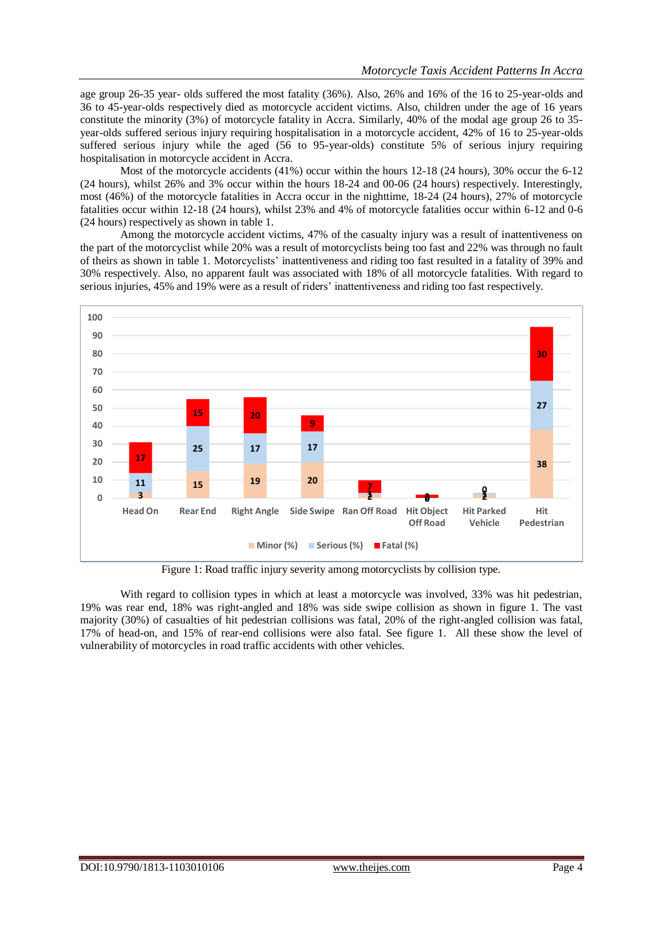age group 26-35 year- olds suffered the most fatality (36%). Also, 26% and 16% of the 16 to 25-year-olds and 36 to 45-year-olds respectively died as motorcycle accident victims. Also, children under the age of 16 years constitute the minority (3%) of motorcycle fatality in Accra. Similarly, 40% of the modal age group 26 to 35 year-olds suffered serious injury requiring hospitalisation in a motorcycle accident, 42% of 16 to 25-year-olds suffered serious injury while the aged (56 to 95-year-olds) constitute 5% of serious injury requiring hospitalisation in motorcycle accident in Accra.

Most of the motorcycle accidents (41%) occur within the hours 12-18 (24 hours), 30% occur the 6-12 (24 hours), whilst 26% and 3% occur within the hours 18-24 and 00-06 (24 hours) respectively. Interestingly, most (46%) of the motorcycle fatalities in Accra occur in the nighttime, 18-24 (24 hours), 27% of motorcycle fatalities occur within 12-18 (24 hours), whilst 23% and 4% of motorcycle fatalities occur within 6-12 and 0-6 (24 hours) respectively as shown in table 1.

Among the motorcycle accident victims, 47% of the casualty injury was a result of inattentiveness on the part of the motorcyclist while 20% was a result of motorcyclists being too fast and 22% was through no fault of theirs as shown in table 1. Motorcyclists' inattentiveness and riding too fast resulted in a fatality of 39% and 30% respectively. Also, no apparent fault was associated with 18% of all motorcycle fatalities. With regard to serious injuries, 45% and 19% were as a result of riders' inattentiveness and riding too fast respectively.



Figure 1: Road traffic injury severity among motorcyclists by collision type.

With regard to collision types in which at least a motorcycle was involved, 33% was hit pedestrian, 19% was rear end, 18% was right-angled and 18% was side swipe collision as shown in figure 1. The vast majority (30%) of casualties of hit pedestrian collisions was fatal, 20% of the right-angled collision was fatal, 17% of head-on, and 15% of rear-end collisions were also fatal. See figure 1. All these show the level of vulnerability of motorcycles in road traffic accidents with other vehicles.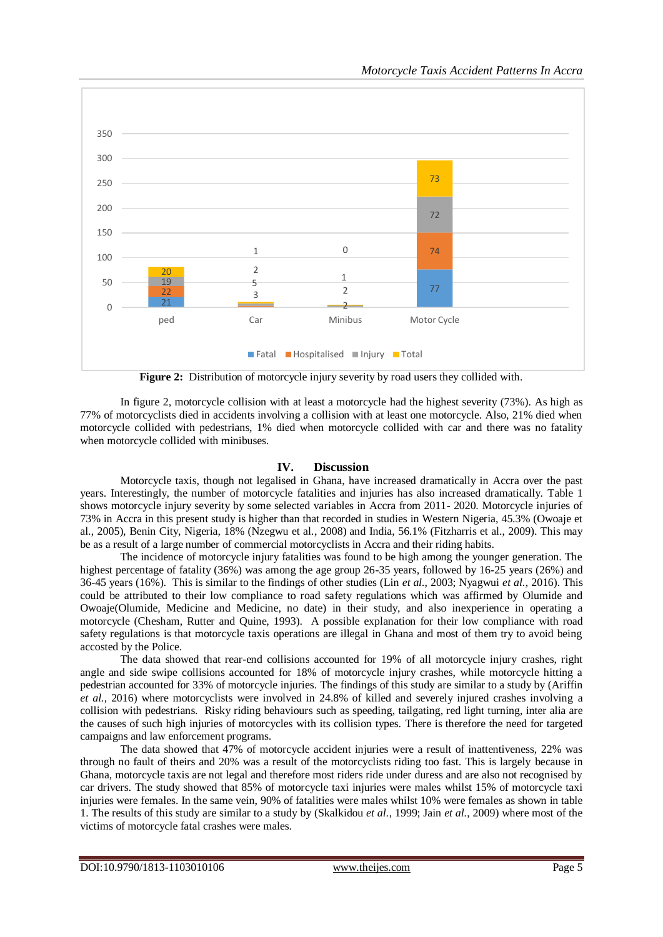

**Figure 2:** Distribution of motorcycle injury severity by road users they collided with.

In figure 2, motorcycle collision with at least a motorcycle had the highest severity (73%). As high as 77% of motorcyclists died in accidents involving a collision with at least one motorcycle. Also, 21% died when motorcycle collided with pedestrians, 1% died when motorcycle collided with car and there was no fatality when motorcycle collided with minibuses.

## **IV. Discussion**

Motorcycle taxis, though not legalised in Ghana, have increased dramatically in Accra over the past years. Interestingly, the number of motorcycle fatalities and injuries has also increased dramatically. Table 1 shows motorcycle injury severity by some selected variables in Accra from 2011- 2020. Motorcycle injuries of 73% in Accra in this present study is higher than that recorded in studies in Western Nigeria, 45.3% (Owoaje et al., 2005), Benin City, Nigeria, 18% (Nzegwu et al., 2008) and India, 56.1% (Fitzharris et al., 2009). This may be as a result of a large number of commercial motorcyclists in Accra and their riding habits.

The incidence of motorcycle injury fatalities was found to be high among the younger generation. The highest percentage of fatality (36%) was among the age group 26-35 years, followed by 16-25 years (26%) and 36-45 years (16%). This is similar to the findings of other studies (Lin *et al.*, 2003; Nyagwui *et al.*, 2016). This could be attributed to their low compliance to road safety regulations which was affirmed by Olumide and Owoaje(Olumide, Medicine and Medicine, no date) in their study, and also inexperience in operating a motorcycle (Chesham, Rutter and Quine, 1993). A possible explanation for their low compliance with road safety regulations is that motorcycle taxis operations are illegal in Ghana and most of them try to avoid being accosted by the Police.

The data showed that rear-end collisions accounted for 19% of all motorcycle injury crashes, right angle and side swipe collisions accounted for 18% of motorcycle injury crashes, while motorcycle hitting a pedestrian accounted for 33% of motorcycle injuries. The findings of this study are similar to a study by (Ariffin *et al.*, 2016) where motorcyclists were involved in 24.8% of killed and severely injured crashes involving a collision with pedestrians. Risky riding behaviours such as speeding, tailgating, red light turning, inter alia are the causes of such high injuries of motorcycles with its collision types. There is therefore the need for targeted campaigns and law enforcement programs.

The data showed that 47% of motorcycle accident injuries were a result of inattentiveness, 22% was through no fault of theirs and 20% was a result of the motorcyclists riding too fast. This is largely because in Ghana, motorcycle taxis are not legal and therefore most riders ride under duress and are also not recognised by car drivers. The study showed that 85% of motorcycle taxi injuries were males whilst 15% of motorcycle taxi injuries were females. In the same vein, 90% of fatalities were males whilst 10% were females as shown in table 1. The results of this study are similar to a study by (Skalkidou *et al.*, 1999; Jain *et al.*, 2009) where most of the victims of motorcycle fatal crashes were males.